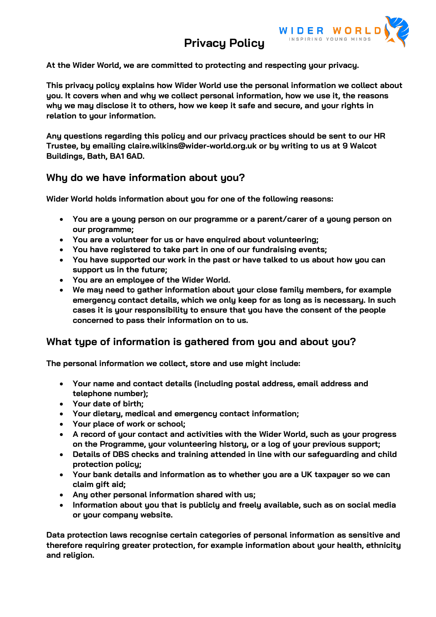# **Privacy Policy**



**At the Wider World, we are committed to protecting and respecting your privacy.**

**This privacy policy explains how Wider World use the personal information we collect about you. It covers when and why we collect personal information, how we use it, the reasons why we may disclose it to others, how we keep it safe and secure, and your rights in relation to your information.**

**Any questions regarding this policy and our privacy practices should be sent to our HR Trustee, by emailing claire.wilkins@wider-world.org.uk or by writing to us at 9 Walcot Buildings, Bath, BA1 6AD.**

#### **Why do we have information about you?**

**Wider World holds information about you for one of the following reasons:**

- **You are a young person on our programme or a parent/carer of a young person on our programme;**
- **You are a volunteer for us or have enquired about volunteering;**
- **You have registered to take part in one of our fundraising events;**
- **You have supported our work in the past or have talked to us about how you can support us in the future;**
- **You are an employee of the Wider World.**
- **We may need to gather information about your close family members, for example emergency contact details, which we only keep for as long as is necessary. In such cases it is your responsibility to ensure that you have the consent of the people concerned to pass their information on to us.**

### **What type of information is gathered from you and about you?**

**The personal information we collect, store and use might include:**

- **Your name and contact details (including postal address, email address and telephone number);**
- **Your date of birth;**
- **Your dietary, medical and emergency contact information;**
- **Your place of work or school;**
- **A record of your contact and activities with the Wider World, such as your progress on the Programme, your volunteering history, or a log of your previous support;**
- **Details of DBS checks and training attended in line with our safeguarding and child protection policy;**
- **Your bank details and information as to whether you are a UK taxpayer so we can claim gift aid;**
- **Any other personal information shared with us;**
- **Information about you that is publicly and freely available, such as on social media or your company website.**

**Data protection laws recognise certain categories of personal information as sensitive and therefore requiring greater protection, for example information about your health, ethnicity and religion.**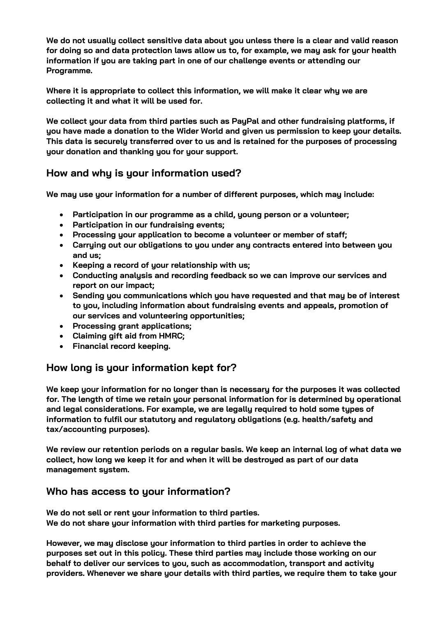**We do not usually collect sensitive data about you unless there is a clear and valid reason for doing so and data protection laws allow us to, for example, we may ask for your health information if you are taking part in one of our challenge events or attending our Programme.**

**Where it is appropriate to collect this information, we will make it clear why we are collecting it and what it will be used for.**

**We collect your data from third parties such as PayPal and other fundraising platforms, if you have made a donation to the Wider World and given us permission to keep your details. This data is securely transferred over to us and is retained for the purposes of processing your donation and thanking you for your support.**

## **How and why is your information used?**

**We may use your information for a number of different purposes, which may include:**

- **Participation in our programme as a child, young person or a volunteer;**
- **Participation in our fundraising events;**
- **Processing your application to become a volunteer or member of staff;**
- **Carrying out our obligations to you under any contracts entered into between you and us;**
- **Keeping a record of your relationship with us;**
- **Conducting analysis and recording feedback so we can improve our services and report on our impact;**
- **Sending you communications which you have requested and that may be of interest to you, including information about fundraising events and appeals, promotion of our services and volunteering opportunities;**
- **Processing grant applications;**
- **Claiming gift aid from HMRC;**
- **Financial record keeping.**

## **How long is your information kept for?**

We keep your information for no longer than is necessary for the purposes it was collected **for. The length of time we retain your personal information for is determined by operational and legal considerations. For example, we are legally required to hold some types of information to fulfil our statutory and regulatory obligations (e.g. health/safety and tax/accounting purposes).**

**We review our retention periods on a regular basis. We keep an internal log of what data we collect, how long we keep it for and when it will be destroyed as part of our data management system.**

#### **Who has access to your information?**

**We do not sell or rent your information to third parties. We do not share your information with third parties for marketing purposes.**

**However, we may disclose your information to third parties in order to achieve the purposes set out in this policy. These third parties may include those working on our behalf to deliver our services to you, such as accommodation, transport and activity providers. Whenever we share your details with third parties, we require them to take your**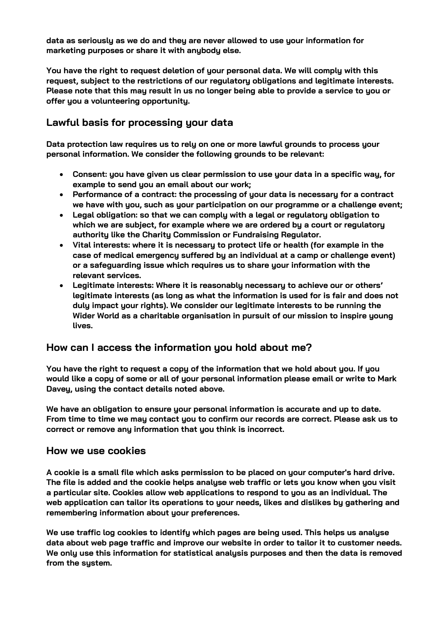**data as seriously as we do and they are never allowed to use your information for marketing purposes or share it with anybody else.**

**You have the right to request deletion of your personal data. We will comply with this request, subject to the restrictions of our regulatory obligations and legitimate interests. Please note that this may result in us no longer being able to provide a service to you or offer you a volunteering opportunity.**

### **Lawful basis for processing your data**

**Data protection law requires us to rely on one or more lawful grounds to process your personal information. We consider the following grounds to be relevant:**

- **Consent: you have given us clear permission to use your data in a specific way, for example to send you an email about our work;**
- **Performance of a contract: the processing of your data is necessary for a contract we have with you, such as your participation on our programme or a challenge event;**
- **Legal obligation: so that we can comply with a legal or regulatory obligation to which we are subject, for example where we are ordered by a court or regulatory authority like the Charity Commission or Fundraising Regulator.**
- **Vital interests: where it is necessary to protect life or health (for example in the case of medical emergency suffered by an individual at a camp or challenge event) or a safeguarding issue which requires us to share your information with the relevant services.**
- **Legitimate interests: Where it is reasonably necessary to achieve our or others' legitimate interests (as long as what the information is used for is fair and does not duly impact your rights). We consider our legitimate interests to be running the Wider World as a charitable organisation in pursuit of our mission to inspire young lives.**

#### **How can I access the information you hold about me?**

**You have the right to request a copy of the information that we hold about you. If you would like a copy of some or all of your personal information please email or write to Mark Davey, using the contact details noted above.**

**We have an obligation to ensure your personal information is accurate and up to date. From time to time we may contact you to confirm our records are correct. Please ask us to correct or remove any information that you think is incorrect.**

#### **How we use cookies**

**A cookie is a small file which asks permission to be placed on your computer's hard drive. The file is added and the cookie helps analyse web traffic or lets you know when you visit a particular site. Cookies allow web applications to respond to you as an individual. The web application can tailor its operations to your needs, likes and dislikes by gathering and remembering information about your preferences.**

**We use traffic log cookies to identify which pages are being used. This helps us analyse data about web page traffic and improve our website in order to tailor it to customer needs. We only use this information for statistical analysis purposes and then the data is removed from the system.**